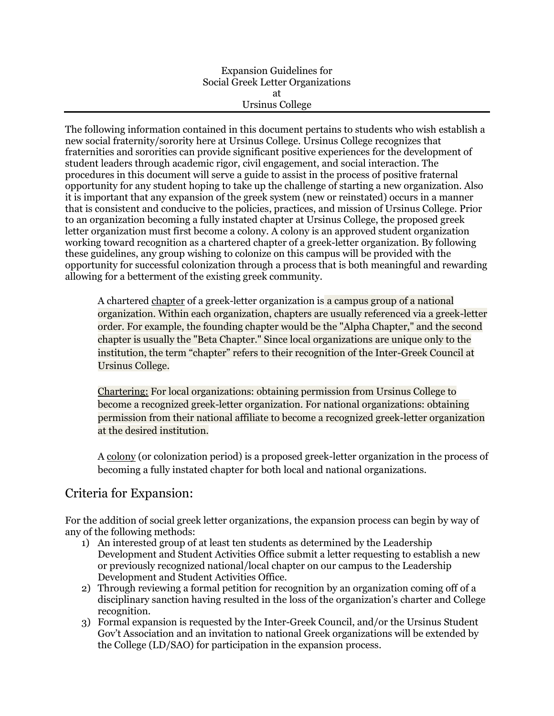### Expansion Guidelines for Social Greek Letter Organizations at Ursinus College

The following information contained in this document pertains to students who wish establish a new social fraternity/sorority here at Ursinus College. Ursinus College recognizes that fraternities and sororities can provide significant positive experiences for the development of student leaders through academic rigor, civil engagement, and social interaction. The procedures in this document will serve a guide to assist in the process of positive fraternal opportunity for any student hoping to take up the challenge of starting a new organization. Also it is important that any expansion of the greek system (new or reinstated) occurs in a manner that is consistent and conducive to the policies, practices, and mission of Ursinus College. Prior to an organization becoming a fully instated chapter at Ursinus College, the proposed greek letter organization must first become a colony. A colony is an approved student organization working toward recognition as a chartered chapter of a greek-letter organization. By following these guidelines, any group wishing to colonize on this campus will be provided with the opportunity for successful colonization through a process that is both meaningful and rewarding allowing for a betterment of the existing greek community.

A chartered chapter of a greek-letter organization is a campus group of a national organization. Within each organization, chapters are usually referenced via a greek-letter order. For example, the founding chapter would be the "Alpha Chapter," and the second chapter is usually the "Beta Chapter." Since local organizations are unique only to the institution, the term "chapter" refers to their recognition of the Inter-Greek Council at Ursinus College.

Chartering: For local organizations: obtaining permission from Ursinus College to become a recognized greek-letter organization. For national organizations: obtaining permission from their national affiliate to become a recognized greek-letter organization at the desired institution.

A colony (or colonization period) is a proposed greek-letter organization in the process of becoming a fully instated chapter for both local and national organizations.

# Criteria for Expansion:

For the addition of social greek letter organizations, the expansion process can begin by way of any of the following methods:

- 1) An interested group of at least ten students as determined by the Leadership Development and Student Activities Office submit a letter requesting to establish a new or previously recognized national/local chapter on our campus to the Leadership Development and Student Activities Office.
- 2) Through reviewing a formal petition for recognition by an organization coming off of a disciplinary sanction having resulted in the loss of the organization's charter and College recognition.
- 3) Formal expansion is requested by the Inter-Greek Council, and/or the Ursinus Student Gov't Association and an invitation to national Greek organizations will be extended by the College (LD/SAO) for participation in the expansion process.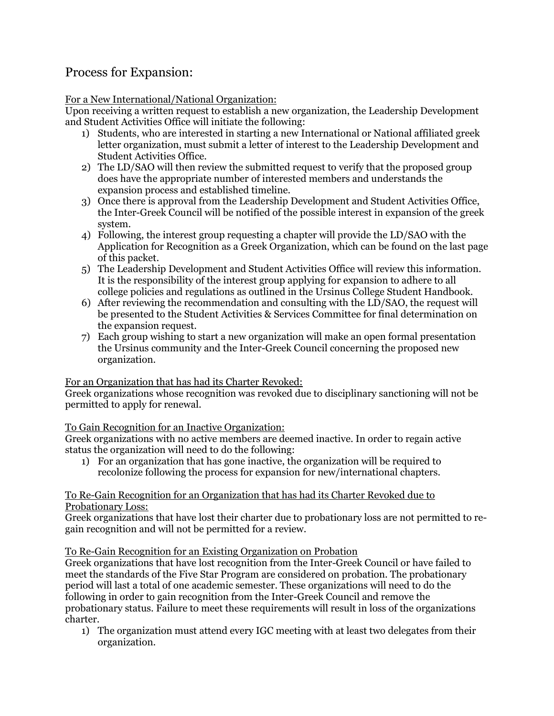# Process for Expansion:

## For a New International/National Organization:

Upon receiving a written request to establish a new organization, the Leadership Development and Student Activities Office will initiate the following:

- 1) Students, who are interested in starting a new International or National affiliated greek letter organization, must submit a letter of interest to the Leadership Development and Student Activities Office.
- 2) The LD/SAO will then review the submitted request to verify that the proposed group does have the appropriate number of interested members and understands the expansion process and established timeline.
- 3) Once there is approval from the Leadership Development and Student Activities Office, the Inter-Greek Council will be notified of the possible interest in expansion of the greek system.
- 4) Following, the interest group requesting a chapter will provide the LD/SAO with the Application for Recognition as a Greek Organization, which can be found on the last page of this packet.
- 5) The Leadership Development and Student Activities Office will review this information. It is the responsibility of the interest group applying for expansion to adhere to all college policies and regulations as outlined in the Ursinus College Student Handbook.
- 6) After reviewing the recommendation and consulting with the LD/SAO, the request will be presented to the Student Activities & Services Committee for final determination on the expansion request.
- 7) Each group wishing to start a new organization will make an open formal presentation the Ursinus community and the Inter-Greek Council concerning the proposed new organization.

## For an Organization that has had its Charter Revoked:

Greek organizations whose recognition was revoked due to disciplinary sanctioning will not be permitted to apply for renewal.

# To Gain Recognition for an Inactive Organization:

Greek organizations with no active members are deemed inactive. In order to regain active status the organization will need to do the following:

1) For an organization that has gone inactive, the organization will be required to recolonize following the process for expansion for new/international chapters.

## To Re-Gain Recognition for an Organization that has had its Charter Revoked due to Probationary Loss:

Greek organizations that have lost their charter due to probationary loss are not permitted to regain recognition and will not be permitted for a review.

## To Re-Gain Recognition for an Existing Organization on Probation

Greek organizations that have lost recognition from the Inter-Greek Council or have failed to meet the standards of the Five Star Program are considered on probation. The probationary period will last a total of one academic semester. These organizations will need to do the following in order to gain recognition from the Inter-Greek Council and remove the probationary status. Failure to meet these requirements will result in loss of the organizations charter.

1) The organization must attend every IGC meeting with at least two delegates from their organization.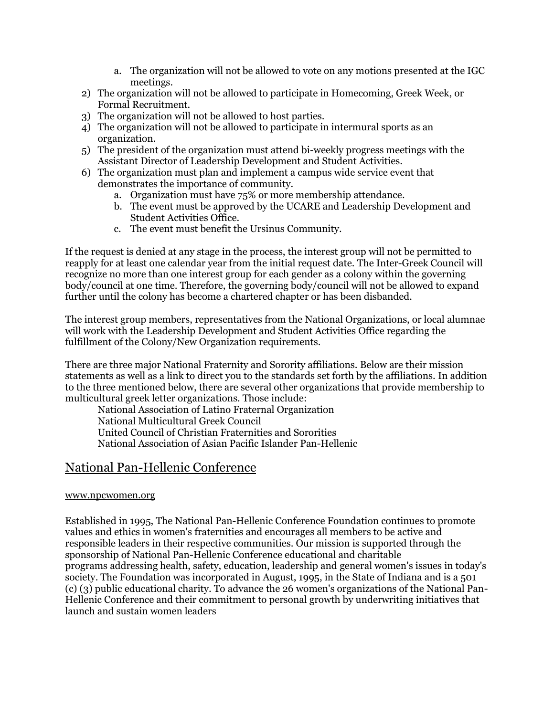- a. The organization will not be allowed to vote on any motions presented at the IGC meetings.
- 2) The organization will not be allowed to participate in Homecoming, Greek Week, or Formal Recruitment.
- 3) The organization will not be allowed to host parties.
- 4) The organization will not be allowed to participate in intermural sports as an organization.
- 5) The president of the organization must attend bi-weekly progress meetings with the Assistant Director of Leadership Development and Student Activities.
- 6) The organization must plan and implement a campus wide service event that demonstrates the importance of community.
	- a. Organization must have 75% or more membership attendance.
	- b. The event must be approved by the UCARE and Leadership Development and Student Activities Office.
	- c. The event must benefit the Ursinus Community.

If the request is denied at any stage in the process, the interest group will not be permitted to reapply for at least one calendar year from the initial request date. The Inter-Greek Council will recognize no more than one interest group for each gender as a colony within the governing body/council at one time. Therefore, the governing body/council will not be allowed to expand further until the colony has become a chartered chapter or has been disbanded.

The interest group members, representatives from the National Organizations, or local alumnae will work with the Leadership Development and Student Activities Office regarding the fulfillment of the Colony/New Organization requirements.

There are three major National Fraternity and Sorority affiliations. Below are their mission statements as well as a link to direct you to the standards set forth by the affiliations. In addition to the three mentioned below, there are several other organizations that provide membership to multicultural greek letter organizations. Those include:

National Association of Latino Fraternal Organization National Multicultural Greek Council United Council of Christian Fraternities and Sororities National Association of Asian Pacific Islander Pan-Hellenic

# National Pan-Hellenic Conference

#### www.npcwomen.org

Established in 1995, The National Pan-Hellenic Conference Foundation continues to promote values and ethics in women's fraternities and encourages all members to be active and responsible leaders in their respective communities. Our mission is supported through the sponsorship of National Pan-Hellenic Conference educational and charitable programs addressing health, safety, education, leadership and general women's issues in today's society. The Foundation was incorporated in August, 1995, in the State of Indiana and is a 501 (c) (3) public educational charity. To advance the 26 women's organizations of the National Pan-Hellenic Conference and their commitment to personal growth by underwriting initiatives that launch and sustain women leaders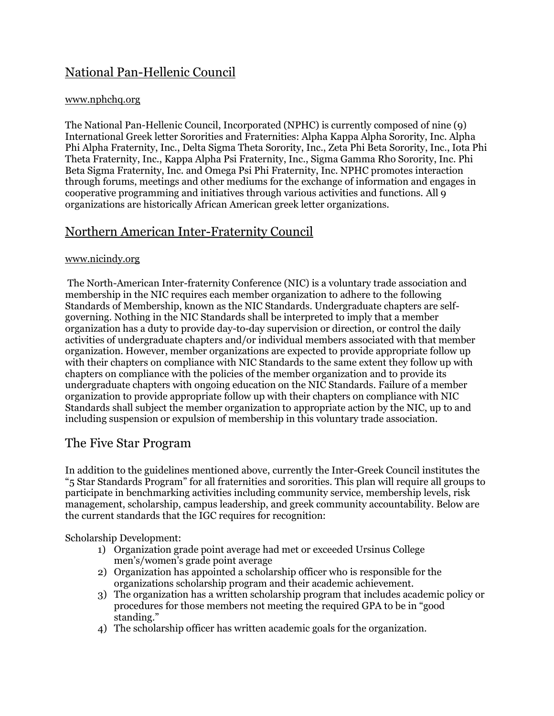# National Pan-Hellenic Council

## www.nphchq.org

The National Pan-Hellenic Council, Incorporated (NPHC) is currently composed of nine (9) International Greek letter Sororities and Fraternities: Alpha Kappa Alpha Sorority, Inc. Alpha Phi Alpha Fraternity, Inc., Delta Sigma Theta Sorority, Inc., Zeta Phi Beta Sorority, Inc., Iota Phi Theta Fraternity, Inc., Kappa Alpha Psi Fraternity, Inc., Sigma Gamma Rho Sorority, Inc. Phi Beta Sigma Fraternity, Inc. and Omega Psi Phi Fraternity, Inc. NPHC promotes interaction through forums, meetings and other mediums for the exchange of information and engages in cooperative programming and initiatives through various activities and functions. All 9 organizations are historically African American greek letter organizations.

# Northern American Inter-Fraternity Council

## www.nicindy.org

The North-American Inter-fraternity Conference (NIC) is a voluntary trade association and membership in the NIC requires each member organization to adhere to the following Standards of Membership, known as the NIC Standards. Undergraduate chapters are selfgoverning. Nothing in the NIC Standards shall be interpreted to imply that a member organization has a duty to provide day-to-day supervision or direction, or control the daily activities of undergraduate chapters and/or individual members associated with that member organization. However, member organizations are expected to provide appropriate follow up with their chapters on compliance with NIC Standards to the same extent they follow up with chapters on compliance with the policies of the member organization and to provide its undergraduate chapters with ongoing education on the NIC Standards. Failure of a member organization to provide appropriate follow up with their chapters on compliance with NIC Standards shall subject the member organization to appropriate action by the NIC, up to and including suspension or expulsion of membership in this voluntary trade association.

# The Five Star Program

In addition to the guidelines mentioned above, currently the Inter-Greek Council institutes the "5 Star Standards Program" for all fraternities and sororities. This plan will require all groups to participate in benchmarking activities including community service, membership levels, risk management, scholarship, campus leadership, and greek community accountability. Below are the current standards that the IGC requires for recognition:

Scholarship Development:

- 1) Organization grade point average had met or exceeded Ursinus College men's/women's grade point average
- 2) Organization has appointed a scholarship officer who is responsible for the organizations scholarship program and their academic achievement.
- 3) The organization has a written scholarship program that includes academic policy or procedures for those members not meeting the required GPA to be in "good standing."
- 4) The scholarship officer has written academic goals for the organization.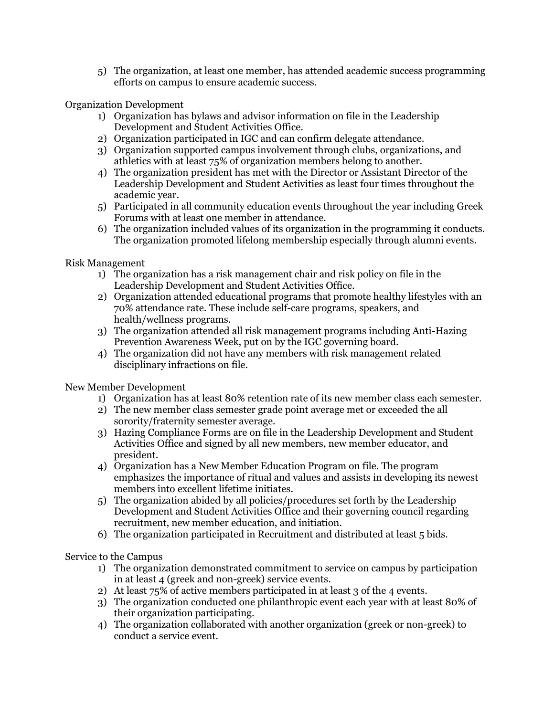5) The organization, at least one member, has attended academic success programming efforts on campus to ensure academic success.

Organization Development

- 1) Organization has bylaws and advisor information on file in the Leadership Development and Student Activities Office.
- 2) Organization participated in IGC and can confirm delegate attendance.
- 3) Organization supported campus involvement through clubs, organizations, and athletics with at least 75% of organization members belong to another.
- 4) The organization president has met with the Director or Assistant Director of the Leadership Development and Student Activities as least four times throughout the academic year.
- 5) Participated in all community education events throughout the year including Greek Forums with at least one member in attendance.
- 6) The organization included values of its organization in the programming it conducts. The organization promoted lifelong membership especially through alumni events.

Risk Management

- 1) The organization has a risk management chair and risk policy on file in the Leadership Development and Student Activities Office.
- 2) Organization attended educational programs that promote healthy lifestyles with an 70% attendance rate. These include self-care programs, speakers, and health/wellness programs.
- 3) The organization attended all risk management programs including Anti-Hazing Prevention Awareness Week, put on by the IGC governing board.
- 4) The organization did not have any members with risk management related disciplinary infractions on file.

New Member Development

- 1) Organization has at least 80% retention rate of its new member class each semester.
- 2) The new member class semester grade point average met or exceeded the all sorority/fraternity semester average.
- 3) Hazing Compliance Forms are on file in the Leadership Development and Student Activities Office and signed by all new members, new member educator, and president.
- 4) Organization has a New Member Education Program on file. The program emphasizes the importance of ritual and values and assists in developing its newest members into excellent lifetime initiates.
- 5) The organization abided by all policies/procedures set forth by the Leadership Development and Student Activities Office and their governing council regarding recruitment, new member education, and initiation.
- 6) The organization participated in Recruitment and distributed at least 5 bids.

Service to the Campus

- 1) The organization demonstrated commitment to service on campus by participation in at least 4 (greek and non-greek) service events.
- 2) At least 75% of active members participated in at least 3 of the 4 events.
- 3) The organization conducted one philanthropic event each year with at least 80% of their organization participating.
- 4) The organization collaborated with another organization (greek or non-greek) to conduct a service event.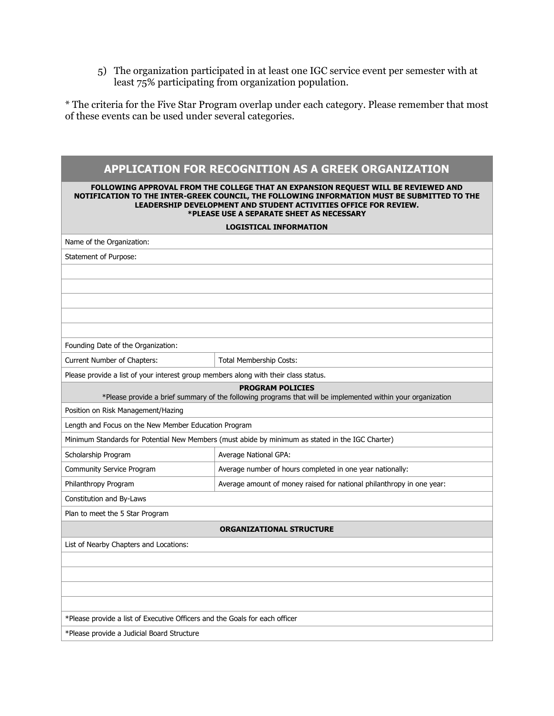5) The organization participated in at least one IGC service event per semester with at least 75% participating from organization population.

\* The criteria for the Five Star Program overlap under each category. Please remember that most of these events can be used under several categories.

| APPLICATION FOR RECOGNITION AS A GREEK ORGANIZATION                                                                                                                                                                                                                                                |                                                                       |
|----------------------------------------------------------------------------------------------------------------------------------------------------------------------------------------------------------------------------------------------------------------------------------------------------|-----------------------------------------------------------------------|
| FOLLOWING APPROVAL FROM THE COLLEGE THAT AN EXPANSION REQUEST WILL BE REVIEWED AND<br>NOTIFICATION TO THE INTER-GREEK COUNCIL, THE FOLLOWING INFORMATION MUST BE SUBMITTED TO THE<br>LEADERSHIP DEVELOPMENT AND STUDENT ACTIVITIES OFFICE FOR REVIEW.<br>*PLEASE USE A SEPARATE SHEET AS NECESSARY |                                                                       |
| <b>LOGISTICAL INFORMATION</b>                                                                                                                                                                                                                                                                      |                                                                       |
| Name of the Organization:                                                                                                                                                                                                                                                                          |                                                                       |
| Statement of Purpose:                                                                                                                                                                                                                                                                              |                                                                       |
|                                                                                                                                                                                                                                                                                                    |                                                                       |
|                                                                                                                                                                                                                                                                                                    |                                                                       |
|                                                                                                                                                                                                                                                                                                    |                                                                       |
|                                                                                                                                                                                                                                                                                                    |                                                                       |
|                                                                                                                                                                                                                                                                                                    |                                                                       |
| Founding Date of the Organization:                                                                                                                                                                                                                                                                 |                                                                       |
| Current Number of Chapters:                                                                                                                                                                                                                                                                        | Total Membership Costs:                                               |
| Please provide a list of your interest group members along with their class status.                                                                                                                                                                                                                |                                                                       |
| <b>PROGRAM POLICIES</b><br>*Please provide a brief summary of the following programs that will be implemented within your organization                                                                                                                                                             |                                                                       |
| Position on Risk Management/Hazing                                                                                                                                                                                                                                                                 |                                                                       |
| Length and Focus on the New Member Education Program                                                                                                                                                                                                                                               |                                                                       |
| Minimum Standards for Potential New Members (must abide by minimum as stated in the IGC Charter)                                                                                                                                                                                                   |                                                                       |
| Scholarship Program                                                                                                                                                                                                                                                                                | Average National GPA:                                                 |
| Community Service Program                                                                                                                                                                                                                                                                          | Average number of hours completed in one year nationally:             |
| Philanthropy Program                                                                                                                                                                                                                                                                               | Average amount of money raised for national philanthropy in one year: |
| Constitution and By-Laws                                                                                                                                                                                                                                                                           |                                                                       |
| Plan to meet the 5 Star Program                                                                                                                                                                                                                                                                    |                                                                       |
| <b>ORGANIZATIONAL STRUCTURE</b>                                                                                                                                                                                                                                                                    |                                                                       |
| List of Nearby Chapters and Locations:                                                                                                                                                                                                                                                             |                                                                       |
|                                                                                                                                                                                                                                                                                                    |                                                                       |
|                                                                                                                                                                                                                                                                                                    |                                                                       |
|                                                                                                                                                                                                                                                                                                    |                                                                       |
|                                                                                                                                                                                                                                                                                                    |                                                                       |
| *Please provide a list of Executive Officers and the Goals for each officer                                                                                                                                                                                                                        |                                                                       |
| *Please provide a Judicial Board Structure                                                                                                                                                                                                                                                         |                                                                       |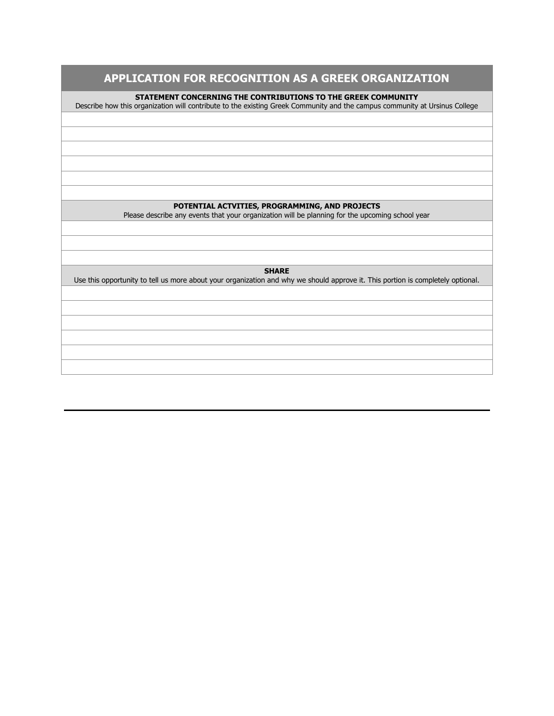# **APPLICATION FOR RECOGNITION AS A GREEK ORGANIZATION**

**STATEMENT CONCERNING THE CONTRIBUTIONS TO THE GREEK COMMUNITY**

Describe how this organization will contribute to the existing Greek Community and the campus community at Ursinus College

#### **POTENTIAL ACTVITIES, PROGRAMMING, AND PROJECTS**

Please describe any events that your organization will be planning for the upcoming school year

**SHARE**

Use this opportunity to tell us more about your organization and why we should approve it. This portion is completely optional.